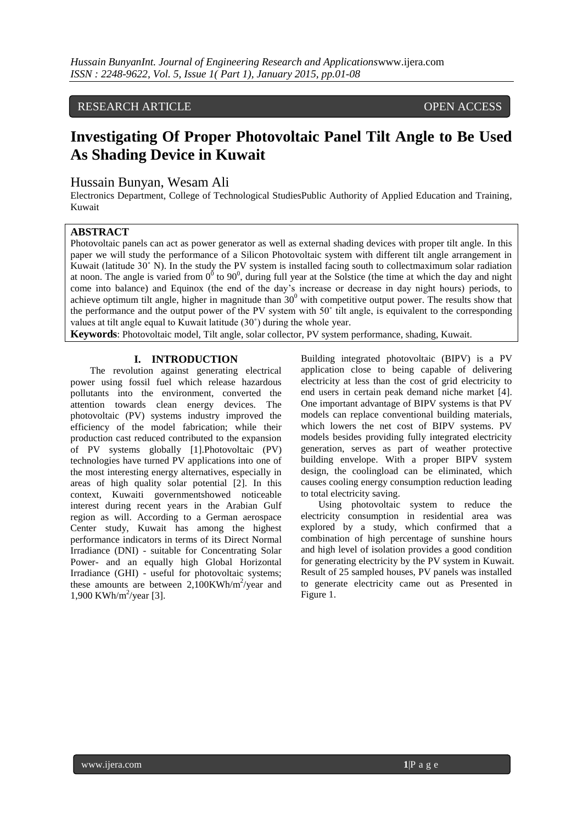# RESEARCH ARTICLE OPEN ACCESS

# **Investigating Of Proper Photovoltaic Panel Tilt Angle to Be Used As Shading Device in Kuwait**

# Hussain Bunyan, Wesam Ali

Electronics Department, College of Technological StudiesPublic Authority of Applied Education and Training, Kuwait

# **ABSTRACT**

Photovoltaic panels can act as power generator as well as external shading devices with proper tilt angle. In this paper we will study the performance of a Silicon Photovoltaic system with different tilt angle arrangement in Kuwait (latitude 30˚ N). In the study the PV system is installed facing south to collectmaximum solar radiation at noon. The angle is varied from  $0^0$  to  $90^0$ , during full year at the Solstice (the time at which the day and night come into balance) and Equinox (the end of the day's increase or decrease in day night hours) periods, to achieve optimum tilt angle, higher in magnitude than  $30^0$  with competitive output power. The results show that the performance and the output power of the PV system with 50˚ tilt angle, is equivalent to the corresponding values at tilt angle equal to Kuwait latitude (30˚) during the whole year.

**Keywords**: Photovoltaic model, Tilt angle, solar collector, PV system performance, shading, Kuwait.

#### **I. INTRODUCTION**

The revolution against generating electrical power using fossil fuel which release hazardous pollutants into the environment, converted the attention towards clean energy devices. The photovoltaic (PV) systems industry improved the efficiency of the model fabrication; while their production cast reduced contributed to the expansion of PV systems globally [1].Photovoltaic (PV) technologies have turned PV applications into one of the most interesting energy alternatives, especially in areas of high quality solar potential [2]. In this context, Kuwaiti governmentshowed noticeable interest during recent years in the Arabian Gulf region as will. According to a German aerospace Center study, Kuwait has among the highest performance indicators in terms of its Direct Normal Irradiance (DNI) - suitable for Concentrating Solar Power- and an equally high Global Horizontal Irradiance (GHI) - useful for photovoltaic systems; these amounts are between  $2,100KWh/m^2/year$  and 1,900 KWh/m<sup>2</sup>/year [3].

Building integrated photovoltaic (BIPV) is a PV application close to being capable of delivering electricity at less than the cost of grid electricity to end users in certain peak demand niche market [4]. One important advantage of BIPV systems is that PV models can replace conventional building materials, which lowers the net cost of BIPV systems. PV models besides providing fully integrated electricity generation, serves as part of weather protective building envelope. With a proper BIPV system design, the coolingload can be eliminated, which causes cooling energy consumption reduction leading to total electricity saving.

Using photovoltaic system to reduce the electricity consumption in residential area was explored by a study, which confirmed that a combination of high percentage of sunshine hours and high level of isolation provides a good condition for generating electricity by the PV system in Kuwait. Result of 25 sampled houses, PV panels was installed to generate electricity came out as Presented in Figure 1.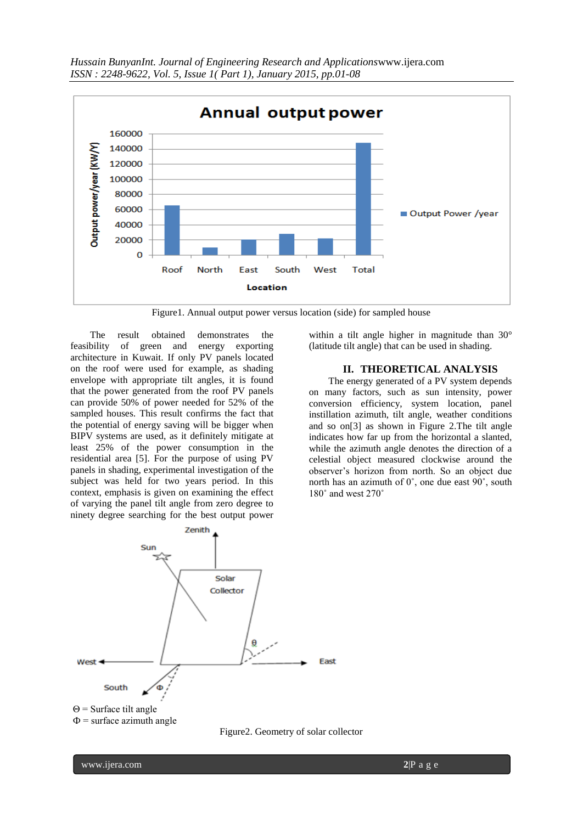*Hussain BunyanInt. Journal of Engineering Research and Applications*www.ijera.com



Figure1. Annual output power versus location (side) for sampled house

The result obtained demonstrates the feasibility of green and energy exporting architecture in Kuwait. If only PV panels located on the roof were used for example, as shading envelope with appropriate tilt angles, it is found that the power generated from the roof PV panels can provide 50% of power needed for 52% of the sampled houses. This result confirms the fact that the potential of energy saving will be bigger when BIPV systems are used, as it definitely mitigate at least 25% of the power consumption in the residential area [5]. For the purpose of using PV panels in shading, experimental investigation of the subject was held for two years period. In this context, emphasis is given on examining the effect of varying the panel tilt angle from zero degree to ninety degree searching for the best output power

within a tilt angle higher in magnitude than 30° (latitude tilt angle) that can be used in shading.

## **II. THEORETICAL ANALYSIS**

The energy generated of a PV system depends on many factors, such as sun intensity, power conversion efficiency, system location, panel instillation azimuth, tilt angle, weather conditions and so on[3] as shown in Figure 2.The tilt angle indicates how far up from the horizontal a slanted, while the azimuth angle denotes the direction of a celestial object measured clockwise around the observer's horizon from north. So an object due north has an azimuth of 0˚, one due east 90˚, south 180˚ and west 270˚



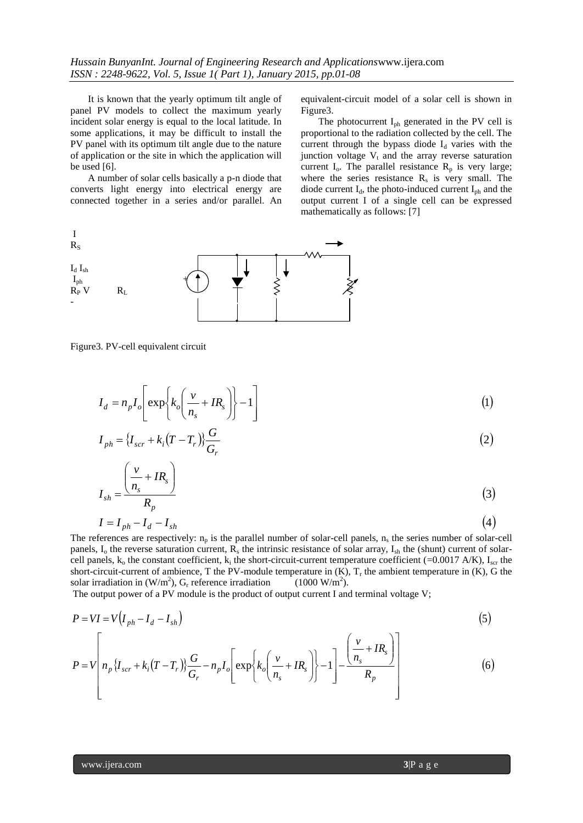Figure3.

mathematically as follows: [7]

It is known that the yearly optimum tilt angle of panel PV models to collect the maximum yearly incident solar energy is equal to the local latitude. In some applications, it may be difficult to install the PV panel with its optimum tilt angle due to the nature of application or the site in which the application will be used [6].

A number of solar cells basically a p-n diode that converts light energy into electrical energy are connected together in a series and/or parallel. An



Figure3. PV-cell equivalent circuit

 $\exp\{k_o\} \rightarrow IR_s$   $\left|-1\right|$  (1) *s*  $\left\{ \frac{d}{n} - n_p I_o \right\} \exp \left\{ \frac{d}{n} \right\}$ *I R*  $I_d = n_n I_o \left( \exp \left\{ k_o \right\} - \right)$  $\overline{\phantom{a}}$  $\cdot$  $\overline{\phantom{a}}$  $\overline{\phantom{a}}$ L  $\mathsf{L}$ L  $\mathbf{r}$  $\overline{a}$ J  $\left\{ \right.$  $\left| \right|$  $\overline{\mathcal{L}}$  $\left\{ \right.$  $\int$  $\overline{\phantom{a}}$ J  $\setminus$  $\overline{\phantom{a}}$  $\setminus$ ſ  $= n_n I_o |\exp\{k_o\}$  +

$$
I_d - n_p I_o \left[ \exp\left(\frac{\kappa_o}{n_s} + N_s \right) \right]^{-1}
$$
  
\n
$$
I_{ph} = \{I_{scr} + k_i (T - T_r) \} \frac{G}{G_r}
$$
 (2)

$$
I_{ph} = \{I_{scr} + k_i(T - T_r)\}\frac{G}{G_r}
$$
\n
$$
I_{sh} = \frac{\left(\frac{v}{n_s} + IR_s\right)}{R_p}
$$
\n
$$
I = I_{ph} - I_d - I_{sh}
$$
\n
$$
(3)
$$
\n
$$
I = I_{ph} - I_d - I_{sh}
$$
\n
$$
(4)
$$
\nThe references are respectively: n<sub>p</sub> is the parallel number of solar-cell panels, n<sub>s</sub> the series number of solar-cell

$$
I = I_{ph} - I_d - I_{sh} \tag{4}
$$

short-circuit-current of ambience, T the PV-module temperature in (K), T<sub>r</sub> the ambient temperature in (K), G the<br>
solar irradiation in (W/m<sup>2</sup>), G<sub>r</sub> reference irradiation (1000 W/m<sup>2</sup>).<br>
The output power of a PV module panels,  $I_0$  the reverse saturation current,  $R_s$  the intrinsic resistance of solar array,  $I_{sh}$  the (shunt) current of solarcell panels,  $k_0$  the constant coefficient,  $k_i$  the short-circuit-current temperature coefficient (=0.0017 A/K),  $I_{scr}$  the solar irradiation in (W/m<sup>2</sup>), G<sub>r</sub> reference irradiation (1000 W/m<sup>2</sup>)  $(1000 W/m<sup>2</sup>).$ 

The output power of a PV module is the product of output current I and terminal voltage V;  
\n
$$
P = VI = V(I_{ph} - I_d - I_{sh})
$$
\n(5)

$$
I_{d} = n_{p} I_{o} \left[ \exp \left\{ k_{o} \left( \frac{v}{n_{s}} + IR_{s} \right) \right\} - 1 \right]
$$
\n
$$
I_{ph} = \left\{ I_{scr} + k_{i} (T - T_{r}) \right\} \frac{G}{G_{r}}
$$
\n
$$
I_{sh} = \frac{\left( \frac{v}{n_{s}} + IR_{s} \right)}{R_{p}}
$$
\n
$$
I = I_{ph} - I_{d} - I_{sh}
$$
\n
$$
I = \frac{1}{n_{h}} - I_{d} - I_{sh}
$$
\n
$$
I = \frac{1}{n_{h}} - I_{d} - I_{sh}
$$
\n
$$
I = \frac{1}{n_{h}} - I_{d} - I_{sh}
$$
\n
$$
I = \frac{1}{n_{h}} - I_{d} - I_{sh}
$$
\n
$$
I = \frac{1}{n_{h}} - I_{d} - I_{sh}
$$
\n
$$
I = \frac{1}{n_{h}} - I_{d} - I_{sh}
$$
\n
$$
I = \frac{1}{n_{h}} - I_{d} - I_{sh}
$$
\n
$$
I = \frac{1}{n_{h}} - I_{h}
$$
\n
$$
I = \frac{1}{n_{h}} - I_{h}
$$
\n
$$
I = \frac{1}{n_{h}} - I_{h}
$$
\n
$$
I = \frac{1}{n_{h}} - I_{h}
$$
\n
$$
I = \frac{1}{n_{h}} - I_{h}
$$
\n
$$
I = \frac{1}{n_{h}} - I_{h}
$$
\n
$$
I = \frac{1}{n_{h}} - I_{h}
$$
\n
$$
I = \frac{1}{n_{h}} - I_{h}
$$
\n
$$
I = \frac{1}{n_{h}} - I_{h}
$$
\n
$$
I = \frac{1}{n_{h}} - I_{h}
$$
\n
$$
I = \frac{1}{n_{h}} - I_{h}
$$
\n
$$
I = \frac{1}{n_{h}} - I_{h}
$$
\n
$$
I = \frac{1}{n_{h}} - I_{h}
$$
\n
$$
I = \frac{1}{n_{h}} - I_{h}
$$
\n
$$
I = \frac{1}{n_{h}} - I_{h}
$$
\n

equivalent-circuit model of a solar cell is shown in

The photocurrent  $I_{ph}$  generated in the PV cell is proportional to the radiation collected by the cell. The current through the bypass diode  $I_d$  varies with the junction voltage  $V_t$  and the array reverse saturation current  $I_0$ . The parallel resistance  $R_p$  is very large; where the series resistance  $R_s$  is very small. The diode current  $I_d$ , the photo-induced current  $I_{ph}$  and the output current I of a single cell can be expressed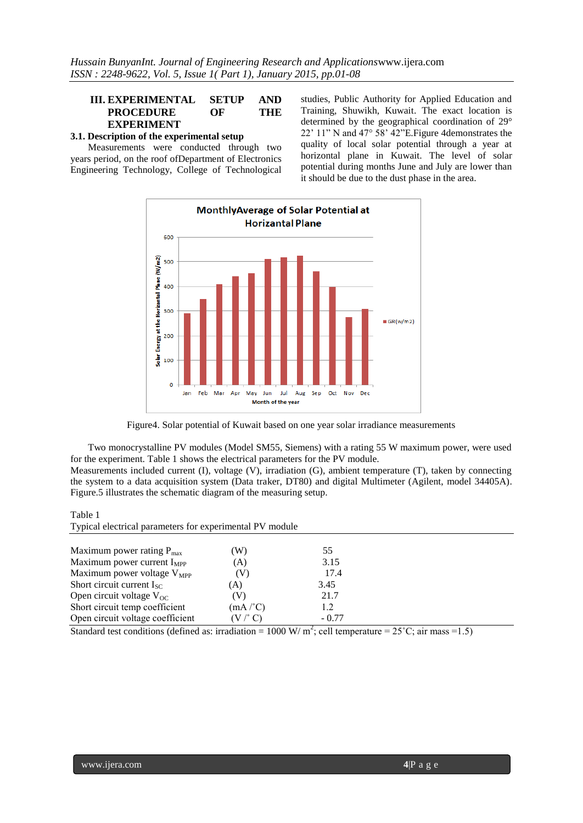## **III. EXPERIMENTAL SETUP AND PROCEDURE OF THE EXPERIMENT**

#### **3.1. Description of the experimental setup**

Measurements were conducted through two years period, on the roof ofDepartment of Electronics Engineering Technology, College of Technological studies, Public Authority for Applied Education and Training, Shuwikh, Kuwait. The exact location is determined by the geographical coordination of 29° 22' 11" N and 47° 58' 42"E.Figure 4demonstrates the quality of local solar potential through a year at horizontal plane in Kuwait. The level of solar potential during months June and July are lower than it should be due to the dust phase in the area.



Figure4. Solar potential of Kuwait based on one year solar irradiance measurements

Two monocrystalline PV modules (Model SM55, Siemens) with a rating 55 W maximum power, were used for the experiment. Table 1 shows the electrical parameters for the PV module.

Measurements included current (I), voltage (V), irradiation (G), ambient temperature (T), taken by connecting the system to a data acquisition system (Data traker, DT80) and digital Multimeter (Agilent, model 34405A). Figure.5 illustrates the schematic diagram of the measuring setup.

## Table 1

|  |  |  |  | Typical electrical parameters for experimental PV module |  |  |  |  |
|--|--|--|--|----------------------------------------------------------|--|--|--|--|
|--|--|--|--|----------------------------------------------------------|--|--|--|--|

| Maximum power rating $P_{\text{max}}$  | (W)      | 55      |  |
|----------------------------------------|----------|---------|--|
| Maximum power current $I_{\text{MPP}}$ | (A)      | 3.15    |  |
| Maximum power voltage $V_{MPP}$        | (V)      | 17.4    |  |
| Short circuit current $I_{SC}$         | (A)      | 3.45    |  |
| Open circuit voltage $V_{OC}$          | (V)      | 21.7    |  |
| Short circuit temp coefficient         | (mA / C) | 1.2     |  |
| Open circuit voltage coefficient       | (V /° C) | $-0.77$ |  |
|                                        |          |         |  |

Standard test conditions (defined as: irradiation = 1000 W/m<sup>2</sup>; cell temperature = 25°C; air mass = 1.5)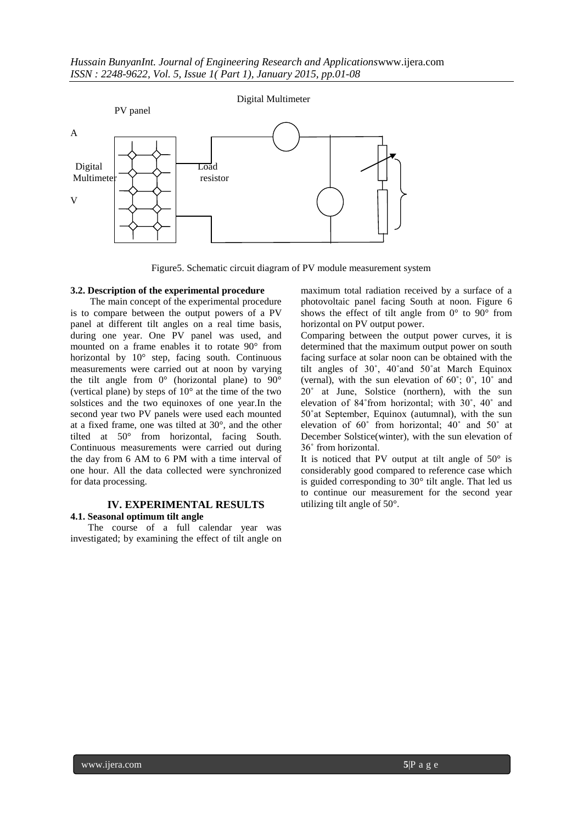

Figure5. Schematic circuit diagram of PV module measurement system

#### **3.2. Description of the experimental procedure**

The main concept of the experimental procedure is to compare between the output powers of a PV panel at different tilt angles on a real time basis, during one year. One PV panel was used, and mounted on a frame enables it to rotate 90° from horizontal by 10° step, facing south. Continuous measurements were carried out at noon by varying the tilt angle from 0° (horizontal plane) to 90° (vertical plane) by steps of 10° at the time of the two solstices and the two equinoxes of one year.In the second year two PV panels were used each mounted at a fixed frame, one was tilted at 30°, and the other tilted at 50° from horizontal, facing South. Continuous measurements were carried out during the day from 6 AM to 6 PM with a time interval of one hour. All the data collected were synchronized for data processing.

#### **IV. EXPERIMENTAL RESULTS 4.1. Seasonal optimum tilt angle**

The course of a full calendar year was investigated; by examining the effect of tilt angle on

maximum total radiation received by a surface of a photovoltaic panel facing South at noon. Figure 6 shows the effect of tilt angle from  $0^{\circ}$  to  $90^{\circ}$  from horizontal on PV output power.

Comparing between the output power curves, it is determined that the maximum output power on south facing surface at solar noon can be obtained with the tilt angles of 30˚, 40˚and 50˚at March Equinox (vernal), with the sun elevation of  $60^\circ$ ;  $0^\circ$ ,  $10^\circ$  and 20˚ at June, Solstice (northern), with the sun elevation of 84˚from horizontal; with 30˚, 40˚ and 50˚at September, Equinox (autumnal), with the sun elevation of 60˚ from horizontal; 40˚ and 50˚ at December Solstice(winter), with the sun elevation of 36˚ from horizontal.

It is noticed that PV output at tilt angle of 50° is considerably good compared to reference case which is guided corresponding to 30° tilt angle. That led us to continue our measurement for the second year utilizing tilt angle of 50°.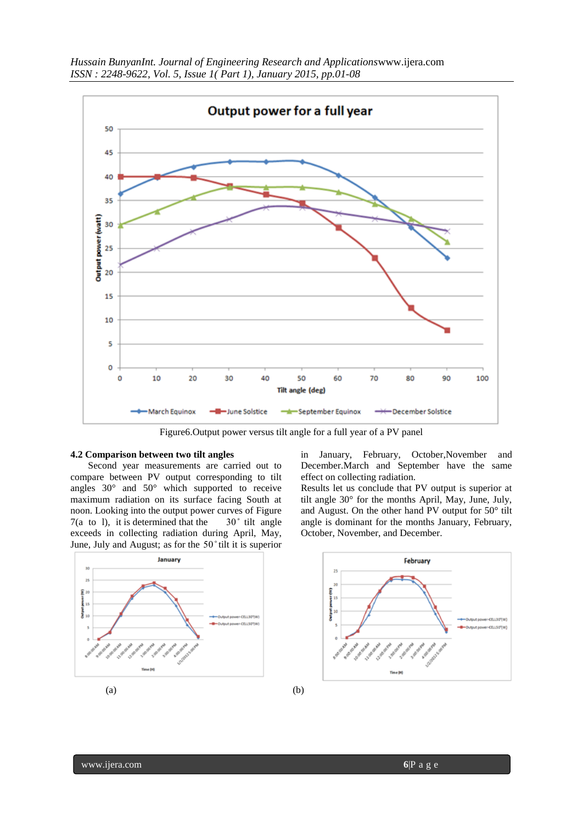

Figure6.Output power versus tilt angle for a full year of a PV panel

#### **4.2 Comparison between two tilt angles**

Second year measurements are carried out to compare between PV output corresponding to tilt angles 30° and 50° which supported to receive maximum radiation on its surface facing South at noon. Looking into the output power curves of Figure  $7(a \text{ to } 1)$ , it is determined that the  $30^\circ$  tilt angle exceeds in collecting radiation during April, May, June, July and August; as for the 50<sup>°</sup>tilt it is superior





in January, February, October,November and December.March and September have the same

Results let us conclude that PV output is superior at tilt angle 30° for the months April, May, June, July, and August. On the other hand PV output for 50° tilt angle is dominant for the months January, February,

effect on collecting radiation.

October, November, and December.

 $(a)$  (b)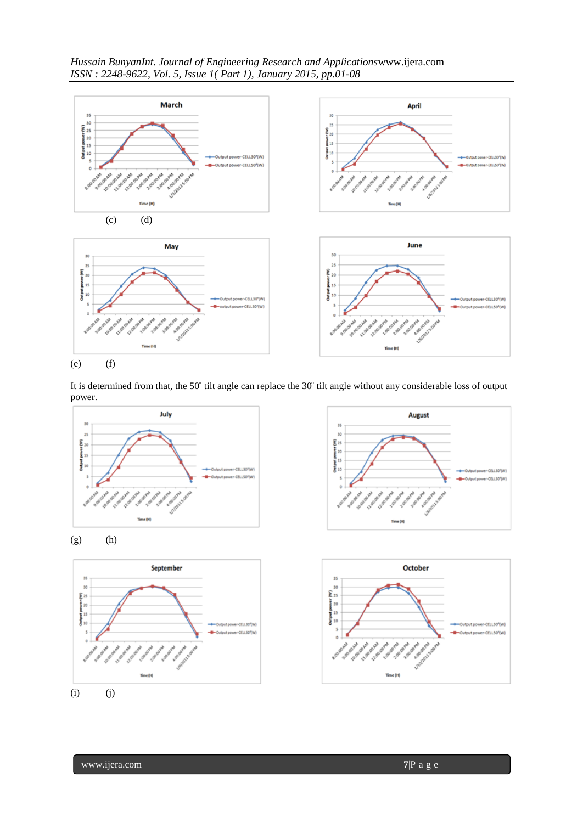



(e) (f)

It is determined from that, the 50° tilt angle can replace the 30° tilt angle without any considerable loss of output power.